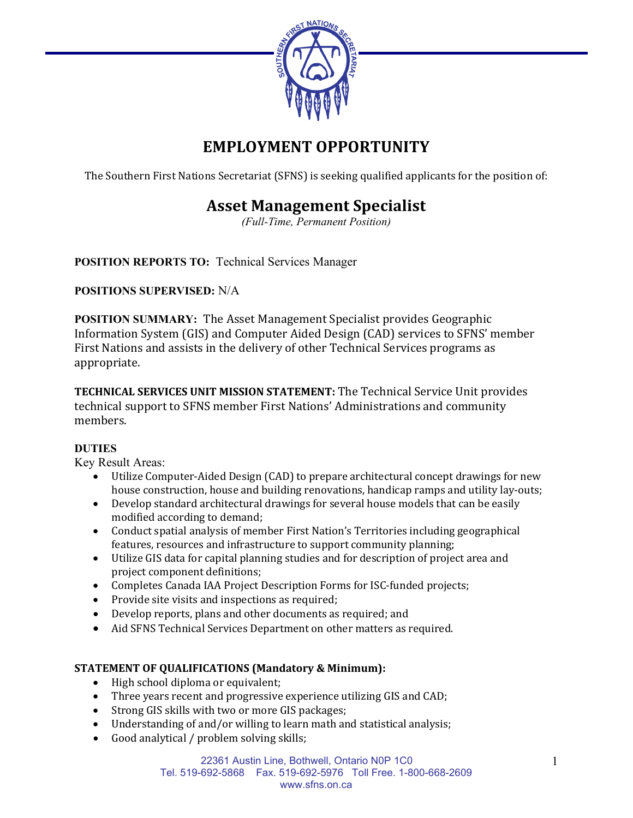

# **EMPLOYMENT OPPORTUNITY**

The Southern First Nations Secretariat (SFNS) is seeking qualified applicants for the position of:

## **Asset Management Specialist**

*(Full-Time, Permanent Position)*

**POSITION REPORTS TO:** Technical Services Manager

### **POSITIONS SUPERVISED:** N/A

**POSITION SUMMARY:** The Asset Management Specialist provides Geographic Information System (GIS) and Computer Aided Design (CAD) services to SFNS' member First Nations and assists in the delivery of other Technical Services programs as appropriate.

**TECHNICAL SERVICES UNIT MISSION STATEMENT:** The Technical Service Unit provides technical support to SFNS member First Nations' Administrations and community members.

## **DUTIES**

Key Result Areas:

- Utilize Computer-Aided Design (CAD) to prepare architectural concept drawings for new house construction, house and building renovations, handicap ramps and utility lay-outs;
- Develop standard architectural drawings for several house models that can be easily modified according to demand;
- Conduct spatial analysis of member First Nation's Territories including geographical features, resources and infrastructure to support community planning;
- Utilize GIS data for capital planning studies and for description of project area and project component definitions;
- Completes Canada IAA Project Description Forms for ISC-funded projects;
- Provide site visits and inspections as required;
- Develop reports, plans and other documents as required; and
- Aid SFNS Technical Services Department on other matters as required.

## **STATEMENT OF QUALIFICATIONS (Mandatory & Minimum):**

- High school diploma or equivalent;
- Three years recent and progressive experience utilizing GIS and CAD;
- Strong GIS skills with two or more GIS packages;
- Understanding of and/or willing to learn math and statistical analysis;
- Good analytical / problem solving skills;